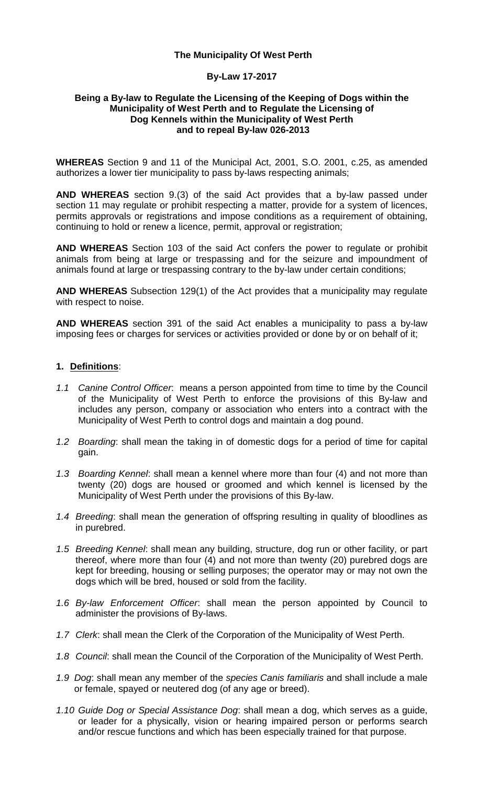### **The Municipality Of West Perth**

#### **By-Law 17-2017**

#### **Being a By-law to Regulate the Licensing of the Keeping of Dogs within the Municipality of West Perth and to Regulate the Licensing of Dog Kennels within the Municipality of West Perth and to repeal By-law 026-2013**

**WHEREAS** Section 9 and 11 of the Municipal Act, 2001, S.O. 2001, c.25, as amended authorizes a lower tier municipality to pass by-laws respecting animals;

**AND WHEREAS** section 9.(3) of the said Act provides that a by-law passed under section 11 may regulate or prohibit respecting a matter, provide for a system of licences, permits approvals or registrations and impose conditions as a requirement of obtaining, continuing to hold or renew a licence, permit, approval or registration;

**AND WHEREAS** Section 103 of the said Act confers the power to regulate or prohibit animals from being at large or trespassing and for the seizure and impoundment of animals found at large or trespassing contrary to the by-law under certain conditions;

**AND WHEREAS** Subsection 129(1) of the Act provides that a municipality may regulate with respect to noise.

**AND WHEREAS** section 391 of the said Act enables a municipality to pass a by-law imposing fees or charges for services or activities provided or done by or on behalf of it;

## **1. Definitions**:

- *1.1 Canine Control Officer*: means a person appointed from time to time by the Council of the Municipality of West Perth to enforce the provisions of this By-law and includes any person, company or association who enters into a contract with the Municipality of West Perth to control dogs and maintain a dog pound.
- *1.2 Boarding*: shall mean the taking in of domestic dogs for a period of time for capital gain.
- *1.3 Boarding Kennel*: shall mean a kennel where more than four (4) and not more than twenty (20) dogs are housed or groomed and which kennel is licensed by the Municipality of West Perth under the provisions of this By-law.
- *1.4 Breeding*: shall mean the generation of offspring resulting in quality of bloodlines as in purebred.
- *1.5 Breeding Kennel*: shall mean any building, structure, dog run or other facility, or part thereof, where more than four (4) and not more than twenty (20) purebred dogs are kept for breeding, housing or selling purposes; the operator may or may not own the dogs which will be bred, housed or sold from the facility.
- *1.6 By-law Enforcement Officer*: shall mean the person appointed by Council to administer the provisions of By-laws.
- *1.7 Clerk*: shall mean the Clerk of the Corporation of the Municipality of West Perth.
- *1.8 Council*: shall mean the Council of the Corporation of the Municipality of West Perth.
- *1.9 Dog*: shall mean any member of the *species Canis familiaris* and shall include a male or female, spayed or neutered dog (of any age or breed).
- *1.10 Guide Dog or Special Assistance Dog*: shall mean a dog, which serves as a guide, or leader for a physically, vision or hearing impaired person or performs search and/or rescue functions and which has been especially trained for that purpose.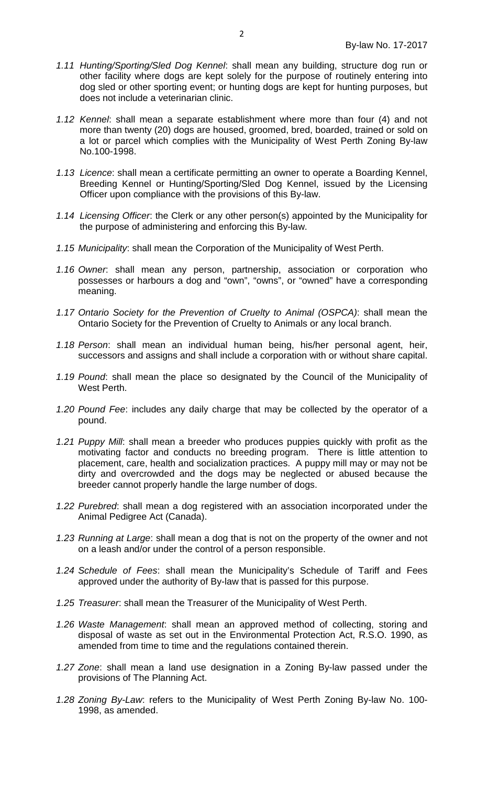- *1.11 Hunting/Sporting/Sled Dog Kennel*: shall mean any building, structure dog run or other facility where dogs are kept solely for the purpose of routinely entering into dog sled or other sporting event; or hunting dogs are kept for hunting purposes, but does not include a veterinarian clinic.
- *1.12 Kennel*: shall mean a separate establishment where more than four (4) and not more than twenty (20) dogs are housed, groomed, bred, boarded, trained or sold on a lot or parcel which complies with the Municipality of West Perth Zoning By-law No.100-1998.
- *1.13 Licence*: shall mean a certificate permitting an owner to operate a Boarding Kennel, Breeding Kennel or Hunting/Sporting/Sled Dog Kennel, issued by the Licensing Officer upon compliance with the provisions of this By-law.
- *1.14 Licensing Officer*: the Clerk or any other person(s) appointed by the Municipality for the purpose of administering and enforcing this By-law.
- *1.15 Municipality*: shall mean the Corporation of the Municipality of West Perth.
- *1.16 Owner*: shall mean any person, partnership, association or corporation who possesses or harbours a dog and "own", "owns", or "owned" have a corresponding meaning.
- *1.17 Ontario Society for the Prevention of Cruelty to Animal (OSPCA)*: shall mean the Ontario Society for the Prevention of Cruelty to Animals or any local branch.
- *1.18 Person*: shall mean an individual human being, his/her personal agent, heir, successors and assigns and shall include a corporation with or without share capital.
- *1.19 Pound*: shall mean the place so designated by the Council of the Municipality of West Perth.
- *1.20 Pound Fee*: includes any daily charge that may be collected by the operator of a pound.
- *1.21 Puppy Mill*: shall mean a breeder who produces puppies quickly with profit as the motivating factor and conducts no breeding program. There is little attention to placement, care, health and socialization practices. A puppy mill may or may not be dirty and overcrowded and the dogs may be neglected or abused because the breeder cannot properly handle the large number of dogs.
- *1.22 Purebred*: shall mean a dog registered with an association incorporated under the Animal Pedigree Act (Canada).
- *1.23 Running at Large*: shall mean a dog that is not on the property of the owner and not on a leash and/or under the control of a person responsible.
- *1.24 Schedule of Fees*: shall mean the Municipality's Schedule of Tariff and Fees approved under the authority of By-law that is passed for this purpose.
- *1.25 Treasurer*: shall mean the Treasurer of the Municipality of West Perth.
- *1.26 Waste Management*: shall mean an approved method of collecting, storing and disposal of waste as set out in the Environmental Protection Act, R.S.O. 1990, as amended from time to time and the regulations contained therein.
- *1.27 Zone*: shall mean a land use designation in a Zoning By-law passed under the provisions of The Planning Act.
- *1.28 Zoning By-Law*: refers to the Municipality of West Perth Zoning By-law No. 100- 1998, as amended.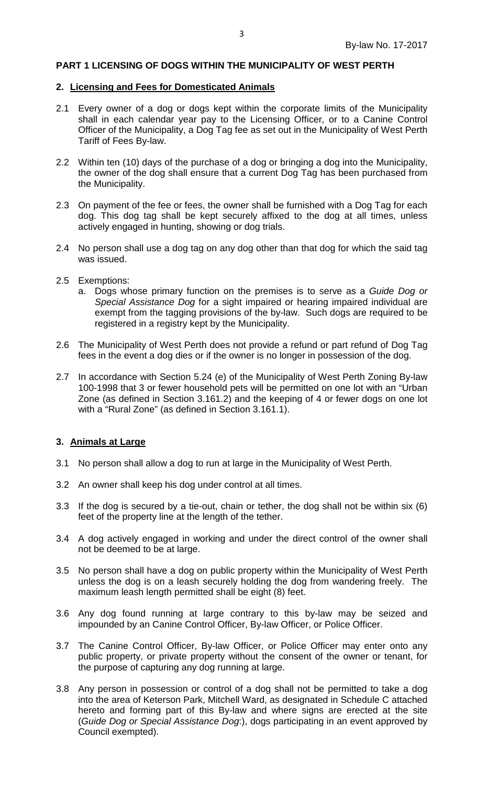### **PART 1 LICENSING OF DOGS WITHIN THE MUNICIPALITY OF WEST PERTH**

#### **2. Licensing and Fees for Domesticated Animals**

- 2.1 Every owner of a dog or dogs kept within the corporate limits of the Municipality shall in each calendar year pay to the Licensing Officer, or to a Canine Control Officer of the Municipality, a Dog Tag fee as set out in the Municipality of West Perth Tariff of Fees By-law.
- 2.2 Within ten (10) days of the purchase of a dog or bringing a dog into the Municipality, the owner of the dog shall ensure that a current Dog Tag has been purchased from the Municipality.
- 2.3 On payment of the fee or fees, the owner shall be furnished with a Dog Tag for each dog. This dog tag shall be kept securely affixed to the dog at all times, unless actively engaged in hunting, showing or dog trials.
- 2.4 No person shall use a dog tag on any dog other than that dog for which the said tag was issued.
- 2.5 Exemptions:
	- a. Dogs whose primary function on the premises is to serve as a *Guide Dog or Special Assistance Dog* for a sight impaired or hearing impaired individual are exempt from the tagging provisions of the by-law. Such dogs are required to be registered in a registry kept by the Municipality.
- 2.6 The Municipality of West Perth does not provide a refund or part refund of Dog Tag fees in the event a dog dies or if the owner is no longer in possession of the dog.
- 2.7 In accordance with Section 5.24 (e) of the Municipality of West Perth Zoning By-law 100-1998 that 3 or fewer household pets will be permitted on one lot with an "Urban Zone (as defined in Section 3.161.2) and the keeping of 4 or fewer dogs on one lot with a "Rural Zone" (as defined in Section 3.161.1).

## **3. Animals at Large**

- 3.1 No person shall allow a dog to run at large in the Municipality of West Perth.
- 3.2 An owner shall keep his dog under control at all times.
- 3.3 If the dog is secured by a tie-out, chain or tether, the dog shall not be within six (6) feet of the property line at the length of the tether.
- 3.4 A dog actively engaged in working and under the direct control of the owner shall not be deemed to be at large.
- 3.5 No person shall have a dog on public property within the Municipality of West Perth unless the dog is on a leash securely holding the dog from wandering freely. The maximum leash length permitted shall be eight (8) feet.
- 3.6 Any dog found running at large contrary to this by-law may be seized and impounded by an Canine Control Officer, By-law Officer, or Police Officer.
- 3.7 The Canine Control Officer, By-law Officer, or Police Officer may enter onto any public property, or private property without the consent of the owner or tenant, for the purpose of capturing any dog running at large.
- 3.8 Any person in possession or control of a dog shall not be permitted to take a dog into the area of Keterson Park, Mitchell Ward, as designated in Schedule C attached hereto and forming part of this By-law and where signs are erected at the site (*Guide Dog or Special Assistance Dog*:), dogs participating in an event approved by Council exempted).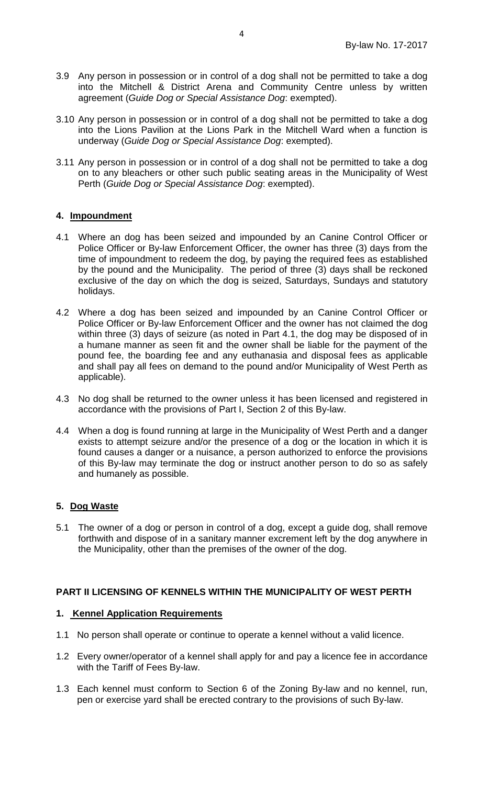- 3.9 Any person in possession or in control of a dog shall not be permitted to take a dog into the Mitchell & District Arena and Community Centre unless by written agreement (*Guide Dog or Special Assistance Dog*: exempted).
- 3.10 Any person in possession or in control of a dog shall not be permitted to take a dog into the Lions Pavilion at the Lions Park in the Mitchell Ward when a function is underway (*Guide Dog or Special Assistance Dog*: exempted).
- 3.11 Any person in possession or in control of a dog shall not be permitted to take a dog on to any bleachers or other such public seating areas in the Municipality of West Perth (*Guide Dog or Special Assistance Dog*: exempted).

## **4. Impoundment**

- 4.1 Where an dog has been seized and impounded by an Canine Control Officer or Police Officer or By-law Enforcement Officer, the owner has three (3) days from the time of impoundment to redeem the dog, by paying the required fees as established by the pound and the Municipality. The period of three (3) days shall be reckoned exclusive of the day on which the dog is seized, Saturdays, Sundays and statutory holidays.
- 4.2 Where a dog has been seized and impounded by an Canine Control Officer or Police Officer or By-law Enforcement Officer and the owner has not claimed the dog within three (3) days of seizure (as noted in Part 4.1, the dog may be disposed of in a humane manner as seen fit and the owner shall be liable for the payment of the pound fee, the boarding fee and any euthanasia and disposal fees as applicable and shall pay all fees on demand to the pound and/or Municipality of West Perth as applicable).
- 4.3 No dog shall be returned to the owner unless it has been licensed and registered in accordance with the provisions of Part I, Section 2 of this By-law.
- 4.4 When a dog is found running at large in the Municipality of West Perth and a danger exists to attempt seizure and/or the presence of a dog or the location in which it is found causes a danger or a nuisance, a person authorized to enforce the provisions of this By-law may terminate the dog or instruct another person to do so as safely and humanely as possible.

## **5. Dog Waste**

5.1 The owner of a dog or person in control of a dog, except a guide dog, shall remove forthwith and dispose of in a sanitary manner excrement left by the dog anywhere in the Municipality, other than the premises of the owner of the dog.

#### **PART II LICENSING OF KENNELS WITHIN THE MUNICIPALITY OF WEST PERTH**

#### **1. Kennel Application Requirements**

- 1.1 No person shall operate or continue to operate a kennel without a valid licence.
- 1.2 Every owner/operator of a kennel shall apply for and pay a licence fee in accordance with the Tariff of Fees By-law.
- 1.3 Each kennel must conform to Section 6 of the Zoning By-law and no kennel, run, pen or exercise yard shall be erected contrary to the provisions of such By-law.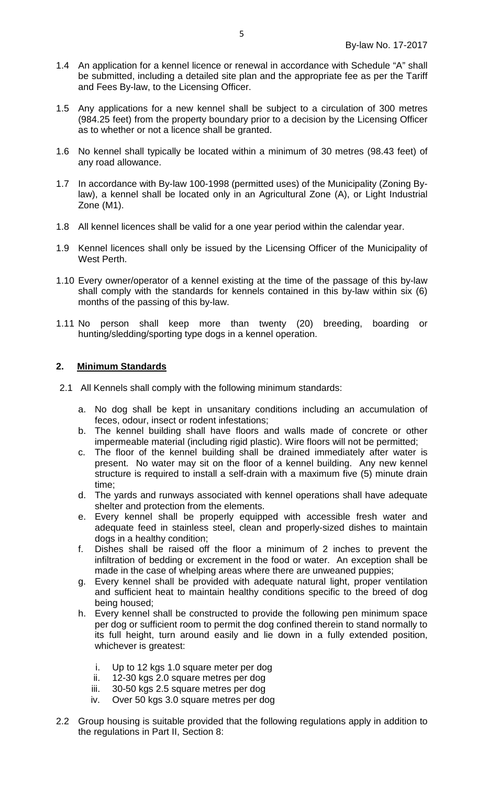- 1.4 An application for a kennel licence or renewal in accordance with Schedule "A" shall be submitted, including a detailed site plan and the appropriate fee as per the Tariff and Fees By-law, to the Licensing Officer.
- 1.5 Any applications for a new kennel shall be subject to a circulation of 300 metres (984.25 feet) from the property boundary prior to a decision by the Licensing Officer as to whether or not a licence shall be granted.
- 1.6 No kennel shall typically be located within a minimum of 30 metres (98.43 feet) of any road allowance.
- 1.7 In accordance with By-law 100-1998 (permitted uses) of the Municipality (Zoning Bylaw), a kennel shall be located only in an Agricultural Zone (A), or Light Industrial Zone (M1).
- 1.8 All kennel licences shall be valid for a one year period within the calendar year.
- 1.9 Kennel licences shall only be issued by the Licensing Officer of the Municipality of West Perth.
- 1.10 Every owner/operator of a kennel existing at the time of the passage of this by-law shall comply with the standards for kennels contained in this by-law within six (6) months of the passing of this by-law.
- 1.11 No person shall keep more than twenty (20) breeding, boarding or hunting/sledding/sporting type dogs in a kennel operation.

## **2. Minimum Standards**

- 2.1 All Kennels shall comply with the following minimum standards:
	- a. No dog shall be kept in unsanitary conditions including an accumulation of feces, odour, insect or rodent infestations;
	- b. The kennel building shall have floors and walls made of concrete or other impermeable material (including rigid plastic). Wire floors will not be permitted;
	- c. The floor of the kennel building shall be drained immediately after water is present. No water may sit on the floor of a kennel building. Any new kennel structure is required to install a self-drain with a maximum five (5) minute drain time;
	- d. The yards and runways associated with kennel operations shall have adequate shelter and protection from the elements.
	- e. Every kennel shall be properly equipped with accessible fresh water and adequate feed in stainless steel, clean and properly-sized dishes to maintain dogs in a healthy condition;
	- f. Dishes shall be raised off the floor a minimum of 2 inches to prevent the infiltration of bedding or excrement in the food or water. An exception shall be made in the case of whelping areas where there are unweaned puppies;
	- g. Every kennel shall be provided with adequate natural light, proper ventilation and sufficient heat to maintain healthy conditions specific to the breed of dog being housed;
	- h. Every kennel shall be constructed to provide the following pen minimum space per dog or sufficient room to permit the dog confined therein to stand normally to its full height, turn around easily and lie down in a fully extended position, whichever is greatest:
		- i. Up to 12 kgs 1.0 square meter per dog
		- ii. 12-30 kgs 2.0 square metres per dog
		- iii. 30-50 kgs 2.5 square metres per dog
		- iv. Over 50 kgs 3.0 square metres per dog
- 2.2 Group housing is suitable provided that the following regulations apply in addition to the regulations in Part II, Section 8: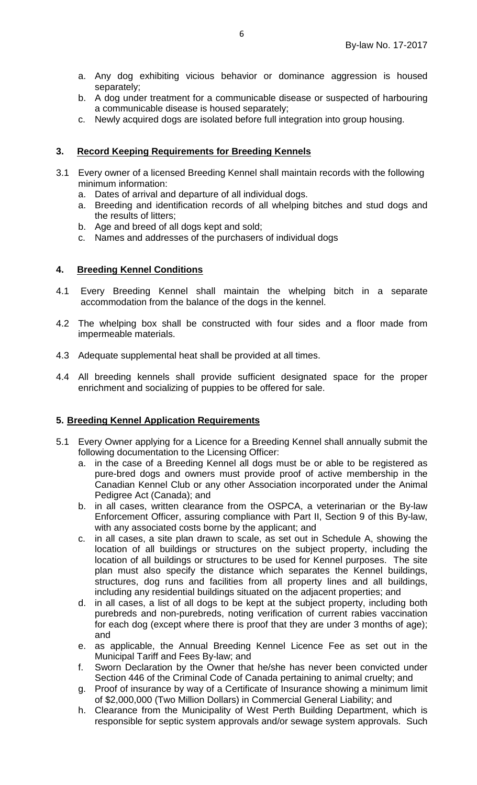- a. Any dog exhibiting vicious behavior or dominance aggression is housed separately;
- b. A dog under treatment for a communicable disease or suspected of harbouring a communicable disease is housed separately;
- c. Newly acquired dogs are isolated before full integration into group housing.

# **3. Record Keeping Requirements for Breeding Kennels**

- 3.1 Every owner of a licensed Breeding Kennel shall maintain records with the following minimum information:
	- a. Dates of arrival and departure of all individual dogs.
	- a. Breeding and identification records of all whelping bitches and stud dogs and the results of litters;
	- b. Age and breed of all dogs kept and sold;
	- c. Names and addresses of the purchasers of individual dogs

## **4. Breeding Kennel Conditions**

- 4.1 Every Breeding Kennel shall maintain the whelping bitch in a separate accommodation from the balance of the dogs in the kennel.
- 4.2 The whelping box shall be constructed with four sides and a floor made from impermeable materials.
- 4.3 Adequate supplemental heat shall be provided at all times.
- 4.4 All breeding kennels shall provide sufficient designated space for the proper enrichment and socializing of puppies to be offered for sale.

## **5. Breeding Kennel Application Requirements**

- 5.1 Every Owner applying for a Licence for a Breeding Kennel shall annually submit the following documentation to the Licensing Officer:
	- a. in the case of a Breeding Kennel all dogs must be or able to be registered as pure-bred dogs and owners must provide proof of active membership in the Canadian Kennel Club or any other Association incorporated under the Animal Pedigree Act (Canada); and
	- b. in all cases, written clearance from the OSPCA, a veterinarian or the By-law Enforcement Officer, assuring compliance with Part II, Section 9 of this By-law, with any associated costs borne by the applicant; and
	- c. in all cases, a site plan drawn to scale, as set out in Schedule A, showing the location of all buildings or structures on the subject property, including the location of all buildings or structures to be used for Kennel purposes. The site plan must also specify the distance which separates the Kennel buildings, structures, dog runs and facilities from all property lines and all buildings, including any residential buildings situated on the adjacent properties; and
	- d. in all cases, a list of all dogs to be kept at the subject property, including both purebreds and non-purebreds, noting verification of current rabies vaccination for each dog (except where there is proof that they are under 3 months of age); and
	- e. as applicable, the Annual Breeding Kennel Licence Fee as set out in the Municipal Tariff and Fees By-law; and
	- f. Sworn Declaration by the Owner that he/she has never been convicted under Section 446 of the Criminal Code of Canada pertaining to animal cruelty; and
	- g. Proof of insurance by way of a Certificate of Insurance showing a minimum limit of \$2,000,000 (Two Million Dollars) in Commercial General Liability; and
	- h. Clearance from the Municipality of West Perth Building Department, which is responsible for septic system approvals and/or sewage system approvals. Such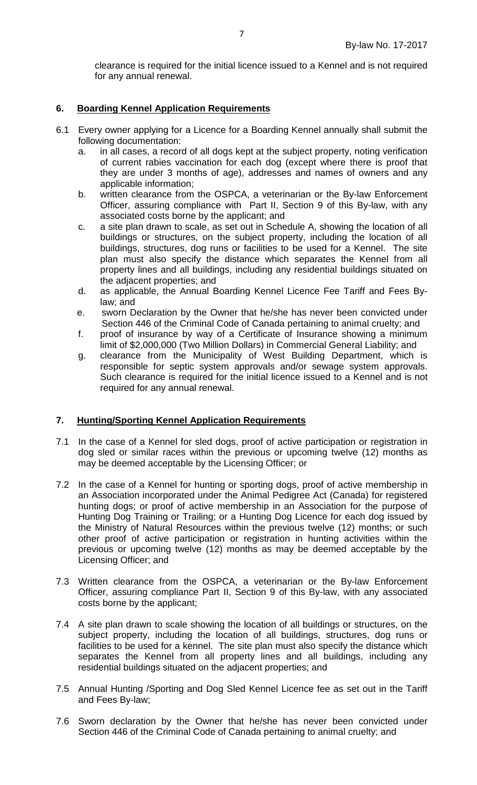clearance is required for the initial licence issued to a Kennel and is not required for any annual renewal.

## **6. Boarding Kennel Application Requirements**

- 6.1 Every owner applying for a Licence for a Boarding Kennel annually shall submit the following documentation:
	- a. in all cases, a record of all dogs kept at the subject property, noting verification of current rabies vaccination for each dog (except where there is proof that they are under 3 months of age), addresses and names of owners and any applicable information;
	- b. written clearance from the OSPCA, a veterinarian or the By-law Enforcement Officer, assuring compliance with Part II, Section 9 of this By-law, with any associated costs borne by the applicant; and
	- c. a site plan drawn to scale, as set out in Schedule A, showing the location of all buildings or structures, on the subject property, including the location of all buildings, structures, dog runs or facilities to be used for a Kennel. The site plan must also specify the distance which separates the Kennel from all property lines and all buildings, including any residential buildings situated on the adjacent properties; and
	- d. as applicable, the Annual Boarding Kennel Licence Fee Tariff and Fees Bylaw; and
	- e. sworn Declaration by the Owner that he/she has never been convicted under Section 446 of the Criminal Code of Canada pertaining to animal cruelty; and
	- f. proof of insurance by way of a Certificate of Insurance showing a minimum limit of \$2,000,000 (Two Million Dollars) in Commercial General Liability; and
	- g. clearance from the Municipality of West Building Department, which is responsible for septic system approvals and/or sewage system approvals. Such clearance is required for the initial licence issued to a Kennel and is not required for any annual renewal.

#### **7. Hunting/Sporting Kennel Application Requirements**

- 7.1 In the case of a Kennel for sled dogs, proof of active participation or registration in dog sled or similar races within the previous or upcoming twelve (12) months as may be deemed acceptable by the Licensing Officer; or
- 7.2 In the case of a Kennel for hunting or sporting dogs, proof of active membership in an Association incorporated under the Animal Pedigree Act (Canada) for registered hunting dogs; or proof of active membership in an Association for the purpose of Hunting Dog Training or Trailing; or a Hunting Dog Licence for each dog issued by the Ministry of Natural Resources within the previous twelve (12) months; or such other proof of active participation or registration in hunting activities within the previous or upcoming twelve (12) months as may be deemed acceptable by the Licensing Officer; and
- 7.3 Written clearance from the OSPCA, a veterinarian or the By-law Enforcement Officer, assuring compliance Part II, Section 9 of this By-law, with any associated costs borne by the applicant;
- 7.4 A site plan drawn to scale showing the location of all buildings or structures, on the subject property, including the location of all buildings, structures, dog runs or facilities to be used for a kennel. The site plan must also specify the distance which separates the Kennel from all property lines and all buildings, including any residential buildings situated on the adjacent properties; and
- 7.5 Annual Hunting /Sporting and Dog Sled Kennel Licence fee as set out in the Tariff and Fees By-law;
- 7.6 Sworn declaration by the Owner that he/she has never been convicted under Section 446 of the Criminal Code of Canada pertaining to animal cruelty; and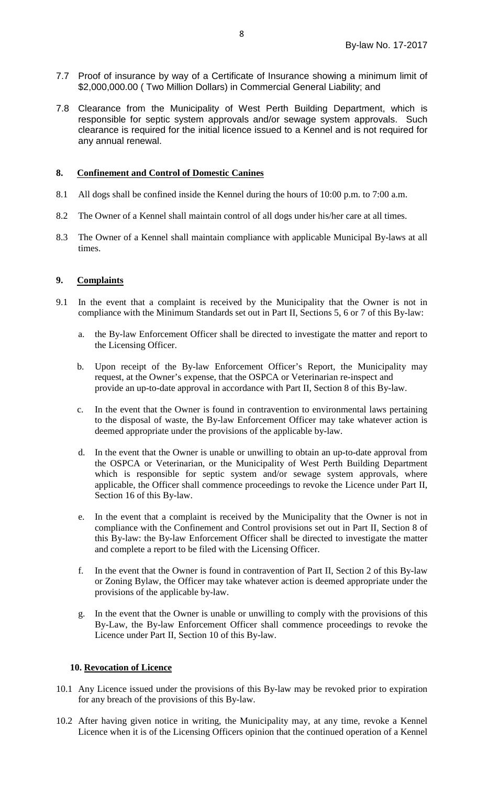- 7.7 Proof of insurance by way of a Certificate of Insurance showing a minimum limit of \$2,000,000.00 ( Two Million Dollars) in Commercial General Liability; and
- 7.8 Clearance from the Municipality of West Perth Building Department, which is responsible for septic system approvals and/or sewage system approvals. Such clearance is required for the initial licence issued to a Kennel and is not required for any annual renewal.

### **8. Confinement and Control of Domestic Canines**

- 8.1 All dogs shall be confined inside the Kennel during the hours of 10:00 p.m. to 7:00 a.m.
- 8.2 The Owner of a Kennel shall maintain control of all dogs under his/her care at all times.
- 8.3 The Owner of a Kennel shall maintain compliance with applicable Municipal By-laws at all times.

#### **9. Complaints**

- 9.1 In the event that a complaint is received by the Municipality that the Owner is not in compliance with the Minimum Standards set out in Part II, Sections 5, 6 or 7 of this By-law:
	- a. the By-law Enforcement Officer shall be directed to investigate the matter and report to the Licensing Officer.
	- b. Upon receipt of the By-law Enforcement Officer's Report, the Municipality may request, at the Owner's expense, that the OSPCA or Veterinarian re-inspect and provide an up-to-date approval in accordance with Part II, Section 8 of this By-law.
	- c. In the event that the Owner is found in contravention to environmental laws pertaining to the disposal of waste, the By-law Enforcement Officer may take whatever action is deemed appropriate under the provisions of the applicable by-law.
	- d. In the event that the Owner is unable or unwilling to obtain an up-to-date approval from the OSPCA or Veterinarian, or the Municipality of West Perth Building Department which is responsible for septic system and/or sewage system approvals, where applicable, the Officer shall commence proceedings to revoke the Licence under Part II, Section 16 of this By-law.
	- e. In the event that a complaint is received by the Municipality that the Owner is not in compliance with the Confinement and Control provisions set out in Part II, Section 8 of this By-law: the By-law Enforcement Officer shall be directed to investigate the matter and complete a report to be filed with the Licensing Officer.
	- f. In the event that the Owner is found in contravention of Part II, Section 2 of this By-law or Zoning Bylaw, the Officer may take whatever action is deemed appropriate under the provisions of the applicable by-law.
	- g. In the event that the Owner is unable or unwilling to comply with the provisions of this By-Law, the By-law Enforcement Officer shall commence proceedings to revoke the Licence under Part II, Section 10 of this By-law.

#### **10. Revocation of Licence**

- 10.1 Any Licence issued under the provisions of this By-law may be revoked prior to expiration for any breach of the provisions of this By-law.
- 10.2 After having given notice in writing, the Municipality may, at any time, revoke a Kennel Licence when it is of the Licensing Officers opinion that the continued operation of a Kennel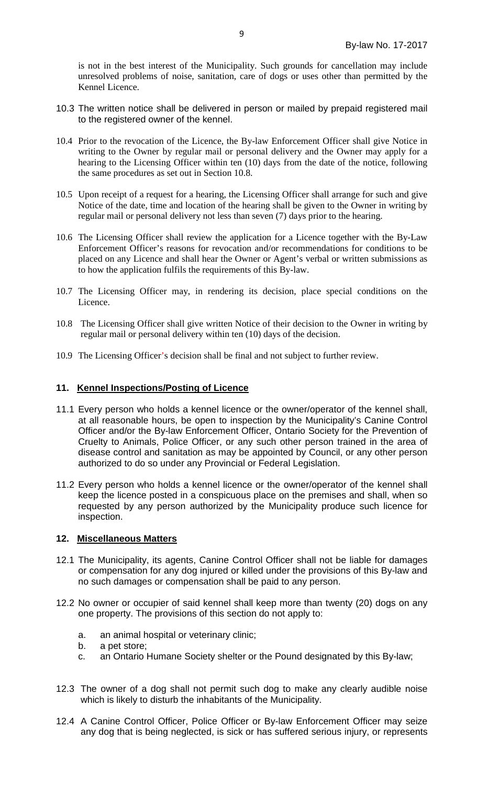is not in the best interest of the Municipality. Such grounds for cancellation may include unresolved problems of noise, sanitation, care of dogs or uses other than permitted by the Kennel Licence.

- 10.3 The written notice shall be delivered in person or mailed by prepaid registered mail to the registered owner of the kennel.
- 10.4 Prior to the revocation of the Licence, the By-law Enforcement Officer shall give Notice in writing to the Owner by regular mail or personal delivery and the Owner may apply for a hearing to the Licensing Officer within ten (10) days from the date of the notice, following the same procedures as set out in Section 10.8.
- 10.5 Upon receipt of a request for a hearing, the Licensing Officer shall arrange for such and give Notice of the date, time and location of the hearing shall be given to the Owner in writing by regular mail or personal delivery not less than seven (7) days prior to the hearing.
- 10.6 The Licensing Officer shall review the application for a Licence together with the By-Law Enforcement Officer's reasons for revocation and/or recommendations for conditions to be placed on any Licence and shall hear the Owner or Agent's verbal or written submissions as to how the application fulfils the requirements of this By-law.
- 10.7 The Licensing Officer may, in rendering its decision, place special conditions on the Licence.
- 10.8 The Licensing Officer shall give written Notice of their decision to the Owner in writing by regular mail or personal delivery within ten (10) days of the decision.
- 10.9 The Licensing Officer's decision shall be final and not subject to further review.

#### **11. Kennel Inspections/Posting of Licence**

- 11.1 Every person who holds a kennel licence or the owner/operator of the kennel shall, at all reasonable hours, be open to inspection by the Municipality's Canine Control Officer and/or the By-law Enforcement Officer, Ontario Society for the Prevention of Cruelty to Animals, Police Officer, or any such other person trained in the area of disease control and sanitation as may be appointed by Council, or any other person authorized to do so under any Provincial or Federal Legislation.
- 11.2 Every person who holds a kennel licence or the owner/operator of the kennel shall keep the licence posted in a conspicuous place on the premises and shall, when so requested by any person authorized by the Municipality produce such licence for inspection.

## **12. Miscellaneous Matters**

- 12.1 The Municipality, its agents, Canine Control Officer shall not be liable for damages or compensation for any dog injured or killed under the provisions of this By-law and no such damages or compensation shall be paid to any person.
- 12.2 No owner or occupier of said kennel shall keep more than twenty (20) dogs on any one property. The provisions of this section do not apply to:
	- a. an animal hospital or veterinary clinic;
	- b. a pet store;
	- c. an Ontario Humane Society shelter or the Pound designated by this By-law;
- 12.3 The owner of a dog shall not permit such dog to make any clearly audible noise which is likely to disturb the inhabitants of the Municipality.
- 12.4 A Canine Control Officer, Police Officer or By-law Enforcement Officer may seize any dog that is being neglected, is sick or has suffered serious injury, or represents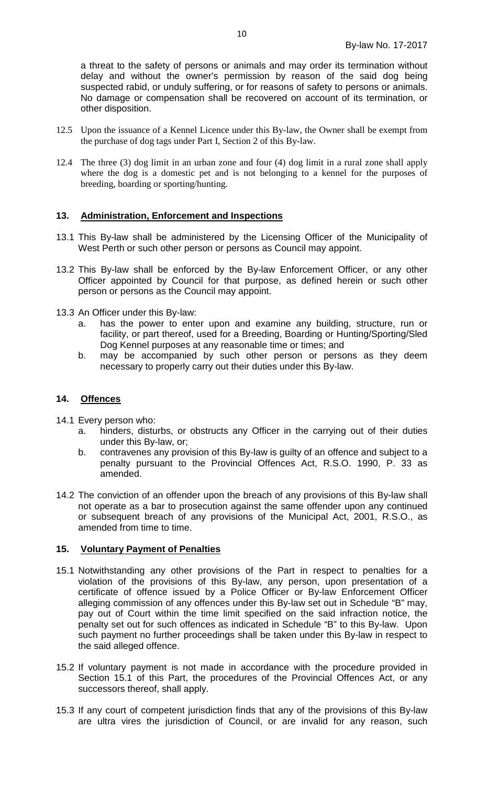a threat to the safety of persons or animals and may order its termination without delay and without the owner's permission by reason of the said dog being suspected rabid, or unduly suffering, or for reasons of safety to persons or animals. No damage or compensation shall be recovered on account of its termination, or other disposition.

- 12.5 Upon the issuance of a Kennel Licence under this By-law, the Owner shall be exempt from the purchase of dog tags under Part I, Section 2 of this By-law.
- 12.4 The three (3) dog limit in an urban zone and four (4) dog limit in a rural zone shall apply where the dog is a domestic pet and is not belonging to a kennel for the purposes of breeding, boarding or sporting/hunting.

## **13. Administration, Enforcement and Inspections**

- 13.1 This By-law shall be administered by the Licensing Officer of the Municipality of West Perth or such other person or persons as Council may appoint.
- 13.2 This By-law shall be enforced by the By-law Enforcement Officer, or any other Officer appointed by Council for that purpose, as defined herein or such other person or persons as the Council may appoint.
- 13.3 An Officer under this By-law:
	- a. has the power to enter upon and examine any building, structure, run or facility, or part thereof, used for a Breeding, Boarding or Hunting/Sporting/Sled Dog Kennel purposes at any reasonable time or times; and
	- b. may be accompanied by such other person or persons as they deem necessary to properly carry out their duties under this By-law.

#### **14. Offences**

- 14.1 Every person who:
	- a. hinders, disturbs, or obstructs any Officer in the carrying out of their duties under this By-law, or;
	- b. contravenes any provision of this By-law is guilty of an offence and subject to a penalty pursuant to the Provincial Offences Act, R.S.O. 1990, P. 33 as amended.
- 14.2 The conviction of an offender upon the breach of any provisions of this By-law shall not operate as a bar to prosecution against the same offender upon any continued or subsequent breach of any provisions of the Municipal Act, 2001, R.S.O., as amended from time to time.

#### **15. Voluntary Payment of Penalties**

- 15.1 Notwithstanding any other provisions of the Part in respect to penalties for a violation of the provisions of this By-law, any person, upon presentation of a certificate of offence issued by a Police Officer or By-law Enforcement Officer alleging commission of any offences under this By-law set out in Schedule "B" may, pay out of Court within the time limit specified on the said infraction notice, the penalty set out for such offences as indicated in Schedule "B" to this By-law. Upon such payment no further proceedings shall be taken under this By-law in respect to the said alleged offence.
- 15.2 If voluntary payment is not made in accordance with the procedure provided in Section 15.1 of this Part, the procedures of the Provincial Offences Act, or any successors thereof, shall apply.
- 15.3 If any court of competent jurisdiction finds that any of the provisions of this By-law are ultra vires the jurisdiction of Council, or are invalid for any reason, such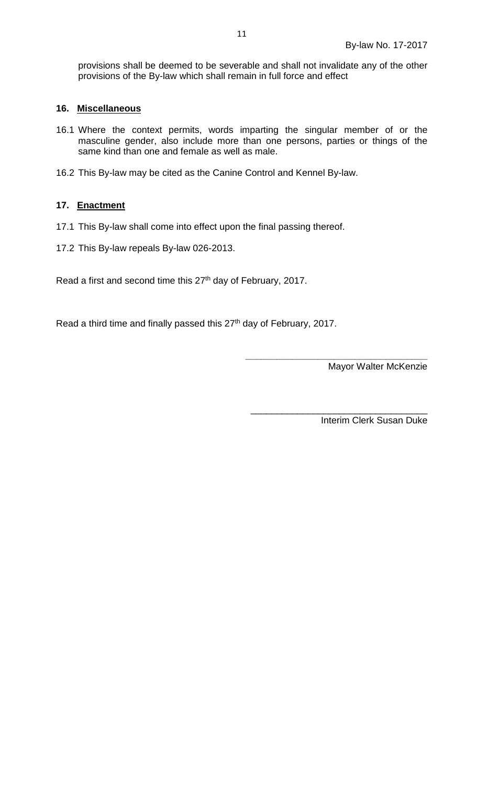provisions shall be deemed to be severable and shall not invalidate any of the other provisions of the By-law which shall remain in full force and effect

#### **16. Miscellaneous**

- 16.1 Where the context permits, words imparting the singular member of or the masculine gender, also include more than one persons, parties or things of the same kind than one and female as well as male.
- 16.2 This By-law may be cited as the Canine Control and Kennel By-law.

## **17. Enactment**

- 17.1 This By-law shall come into effect upon the final passing thereof.
- 17.2 This By-law repeals By-law 026-2013.

Read a first and second time this 27<sup>th</sup> day of February, 2017.

Read a third time and finally passed this 27<sup>th</sup> day of February, 2017.

**\_\_\_\_\_\_\_\_\_\_\_\_\_\_\_\_\_\_\_\_\_\_\_\_\_\_\_\_\_\_\_\_\_\_\_** Mayor Walter McKenzie

\_\_\_\_\_\_\_\_\_\_\_\_\_\_\_\_\_\_\_\_\_\_\_\_\_\_\_\_\_\_\_\_\_\_ Interim Clerk Susan Duke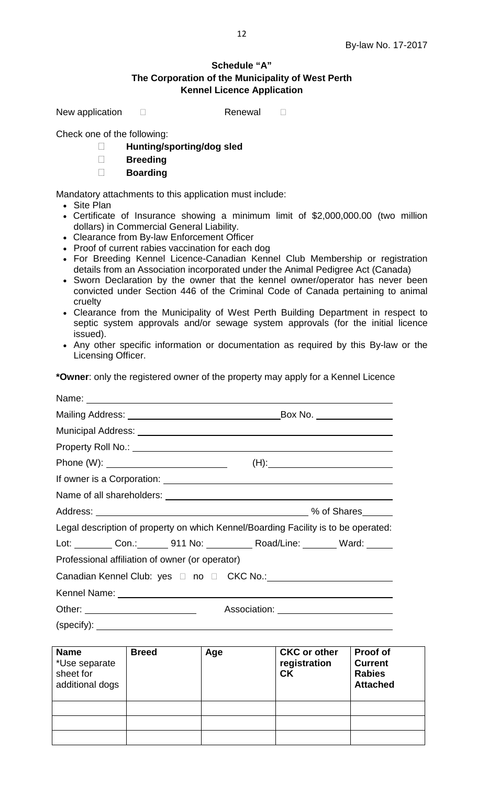٦

# **Schedule "A" The Corporation of the Municipality of West Perth Kennel Licence Application**

New application  $\square$  Renewal  $\square$ 

Check one of the following:

- **Hunting/sporting/dog sled**
- **Breeding**
- **Boarding**

Mandatory attachments to this application must include:

- Site Plan
- Certificate of Insurance showing a minimum limit of \$2,000,000.00 (two million dollars) in Commercial General Liability.
- Clearance from By-law Enforcement Officer
- Proof of current rabies vaccination for each dog
- For Breeding Kennel Licence-Canadian Kennel Club Membership or registration details from an Association incorporated under the Animal Pedigree Act (Canada)
- Sworn Declaration by the owner that the kennel owner/operator has never been convicted under Section 446 of the Criminal Code of Canada pertaining to animal cruelty
- Clearance from the Municipality of West Perth Building Department in respect to septic system approvals and/or sewage system approvals (for the initial licence issued).
- Any other specific information or documentation as required by this By-law or the Licensing Officer.

**\*Owner**: only the registered owner of the property may apply for a Kennel Licence

|             | Name: <u>2000 - 2000 - 2000 - 2000 - 2000 - 2000 - 2000 - 2000 - 2000 - 2000 - 2000 - 2000 - 2000 - 2000 - 2000 - 2000 - 2000 - 2000 - 2000 - 2000 - 2000 - 2000 - 2000 - 2000 - 2000 - 2000 - 2000 - 2000 - 2000 - 2000 - 2000 </u> |     |                                                                                    |                 |  |  |
|-------------|--------------------------------------------------------------------------------------------------------------------------------------------------------------------------------------------------------------------------------------|-----|------------------------------------------------------------------------------------|-----------------|--|--|
|             |                                                                                                                                                                                                                                      |     |                                                                                    |                 |  |  |
|             |                                                                                                                                                                                                                                      |     |                                                                                    |                 |  |  |
|             |                                                                                                                                                                                                                                      |     |                                                                                    |                 |  |  |
|             |                                                                                                                                                                                                                                      |     |                                                                                    |                 |  |  |
|             |                                                                                                                                                                                                                                      |     |                                                                                    |                 |  |  |
|             |                                                                                                                                                                                                                                      |     |                                                                                    |                 |  |  |
|             |                                                                                                                                                                                                                                      |     | Legal description of property on which Kennel/Boarding Facility is to be operated: |                 |  |  |
|             |                                                                                                                                                                                                                                      |     | Lot: Con.: 911 No: ________ Road/Line: Ward: ______                                |                 |  |  |
|             | Professional affiliation of owner (or operator)                                                                                                                                                                                      |     |                                                                                    |                 |  |  |
|             |                                                                                                                                                                                                                                      |     |                                                                                    |                 |  |  |
|             |                                                                                                                                                                                                                                      |     |                                                                                    |                 |  |  |
|             | Other: ____________________________                                                                                                                                                                                                  |     | Association: ___________________________                                           |                 |  |  |
|             |                                                                                                                                                                                                                                      |     | $(specify):$ $\qquad$                                                              |                 |  |  |
|             |                                                                                                                                                                                                                                      |     |                                                                                    |                 |  |  |
| <b>Name</b> | <b>Breed</b><br>$*$ lleo conorato $\qquad \qquad$                                                                                                                                                                                    | Age | <b>CKC or other</b><br>rogictration   Curront                                      | <b>Proof of</b> |  |  |

| .<br>*Use separate<br>sheet for<br>additional dogs | pivvu | луч | <b>VITY VI VUIVI</b><br>registration<br>CK | וש וטטו ו<br><b>Current</b><br><b>Rabies</b><br><b>Attached</b> |
|----------------------------------------------------|-------|-----|--------------------------------------------|-----------------------------------------------------------------|
|                                                    |       |     |                                            |                                                                 |
|                                                    |       |     |                                            |                                                                 |
|                                                    |       |     |                                            |                                                                 |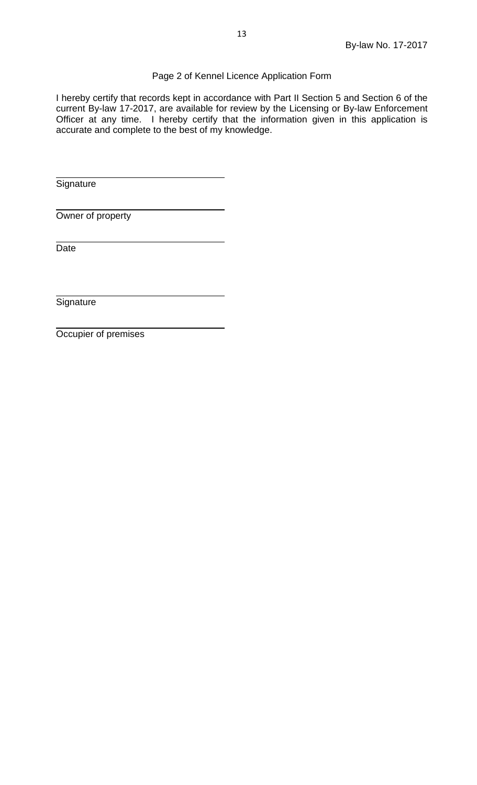# Page 2 of Kennel Licence Application Form

I hereby certify that records kept in accordance with Part II Section 5 and Section 6 of the current By-law 17-2017, are available for review by the Licensing or By-law Enforcement Officer at any time. I hereby certify that the information given in this application is accurate and complete to the best of my knowledge.

**Signature** 

Owner of property

Date

**Signature** 

Occupier of premises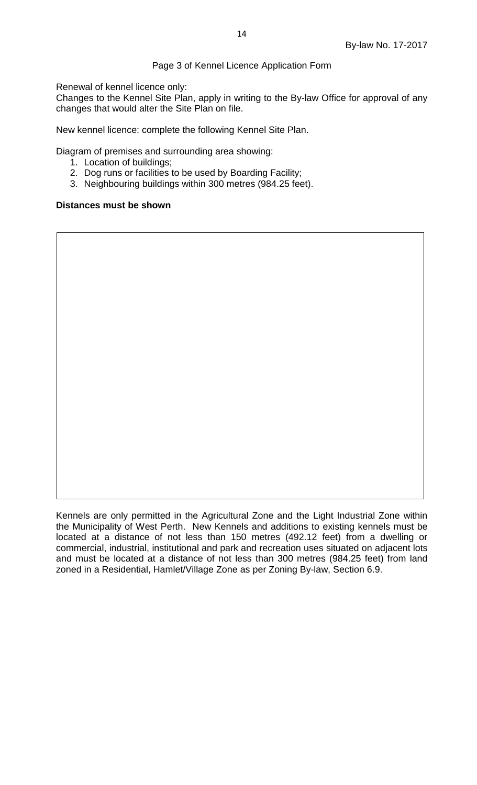## Page 3 of Kennel Licence Application Form

Renewal of kennel licence only:

Changes to the Kennel Site Plan, apply in writing to the By-law Office for approval of any changes that would alter the Site Plan on file.

New kennel licence: complete the following Kennel Site Plan.

Diagram of premises and surrounding area showing:

- 1. Location of buildings;
- 2. Dog runs or facilities to be used by Boarding Facility;
- 3. Neighbouring buildings within 300 metres (984.25 feet).

#### **Distances must be shown**

Kennels are only permitted in the Agricultural Zone and the Light Industrial Zone within the Municipality of West Perth. New Kennels and additions to existing kennels must be located at a distance of not less than 150 metres (492.12 feet) from a dwelling or commercial, industrial, institutional and park and recreation uses situated on adjacent lots and must be located at a distance of not less than 300 metres (984.25 feet) from land zoned in a Residential, Hamlet/Village Zone as per Zoning By-law, Section 6.9.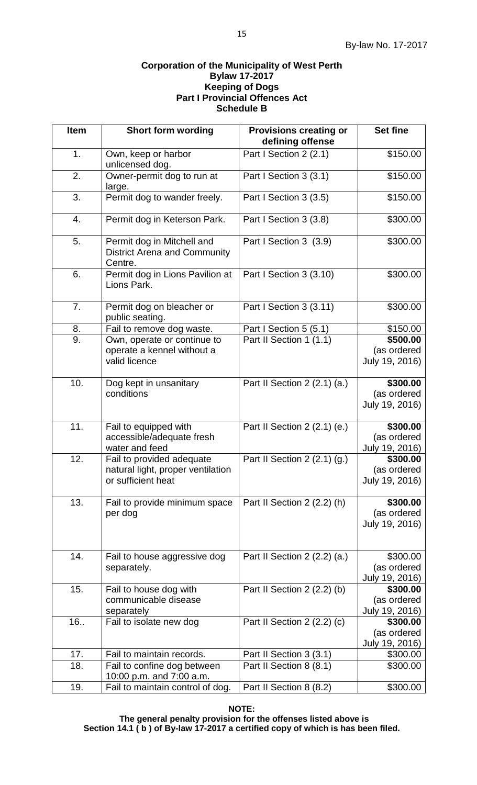#### **Corporation of the Municipality of West Perth Bylaw 17-2017 Keeping of Dogs Part I Provincial Offences Act Schedule B**

| <b>Item</b> | <b>Short form wording</b>                                                            | <b>Provisions creating or</b><br>defining offense | <b>Set fine</b>                           |
|-------------|--------------------------------------------------------------------------------------|---------------------------------------------------|-------------------------------------------|
| 1.          | Own, keep or harbor<br>unlicensed dog.                                               | Part I Section 2 (2.1)                            | \$150.00                                  |
| 2.          | Owner-permit dog to run at<br>large.                                                 | Part I Section 3 (3.1)                            | \$150.00                                  |
| 3.          | Permit dog to wander freely.                                                         | Part I Section 3 (3.5)                            | \$150.00                                  |
| 4.          | Permit dog in Keterson Park.                                                         | Part I Section 3 (3.8)                            | \$300.00                                  |
| 5.          | Permit dog in Mitchell and<br><b>District Arena and Community</b><br>Centre.         | Part I Section 3 (3.9)                            | \$300.00                                  |
| 6.          | Permit dog in Lions Pavilion at<br>Lions Park.                                       | Part I Section 3 (3.10)                           | \$300.00                                  |
| 7.          | Permit dog on bleacher or<br>public seating.                                         | Part I Section 3 (3.11)                           | \$300.00                                  |
| 8.          | Fail to remove dog waste.                                                            | Part I Section 5 (5.1)                            | \$150.00                                  |
| 9.          | Own, operate or continue to                                                          | Part II Section 1 (1.1)                           | \$500.00                                  |
|             | operate a kennel without a<br>valid licence                                          |                                                   | (as ordered<br>July 19, 2016)             |
| 10.         | Dog kept in unsanitary<br>conditions                                                 | Part II Section 2 (2.1) (a.)                      | \$300.00<br>(as ordered<br>July 19, 2016) |
| 11.         | Fail to equipped with<br>accessible/adequate fresh<br>water and feed                 | Part II Section 2 (2.1) (e.)                      | \$300.00<br>(as ordered<br>July 19, 2016) |
| 12.         | Fail to provided adequate<br>natural light, proper ventilation<br>or sufficient heat | Part II Section $2(2.1)(g.)$                      | \$300.00<br>(as ordered<br>July 19, 2016) |
| 13.         | Fail to provide minimum space<br>per dog                                             | Part II Section 2 (2.2) (h)                       | \$300.00<br>(as ordered<br>July 19, 2016) |
| 14.         | Fail to house aggressive dog<br>separately.                                          | Part II Section 2 (2.2) (a.)                      | \$300.00<br>(as ordered<br>July 19, 2016) |
| 15.         | Fail to house dog with<br>communicable disease<br>separately                         | Part II Section 2 (2.2) (b)                       | \$300.00<br>(as ordered<br>July 19, 2016) |
| 16.         | Fail to isolate new dog                                                              | Part II Section 2 (2.2) (c)                       | \$300.00<br>(as ordered<br>July 19, 2016) |
| 17.         | Fail to maintain records.                                                            | Part II Section 3 (3.1)                           | \$300.00                                  |
| 18.         | Fail to confine dog between<br>10:00 p.m. and 7:00 a.m.                              | Part II Section 8 (8.1)                           | \$300.00                                  |
| 19.         | Fail to maintain control of dog.                                                     | Part II Section 8 (8.2)                           | \$300.00                                  |

**NOTE:**

 **The general penalty provision for the offenses listed above is Section 14.1 ( b ) of By-law 17-2017 a certified copy of which is has been filed.**